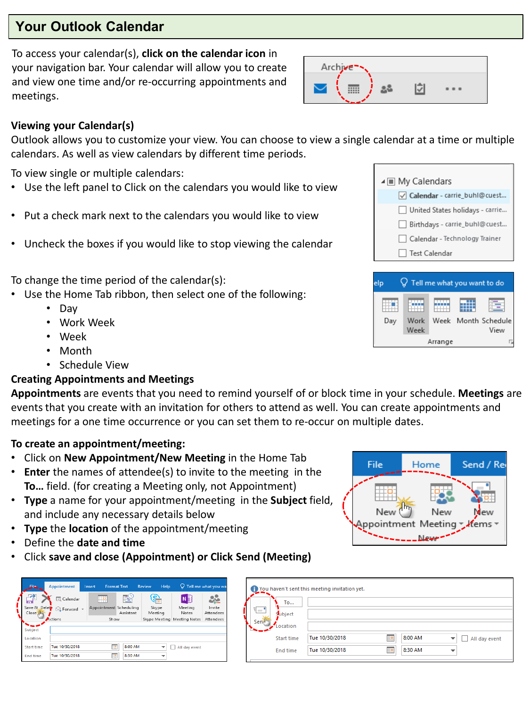# **Your Outlook Calendar**

To access your calendar(s), **click on the calendar icon** in your navigation bar. Your calendar will allow you to create and view one time and/or re-occurring appointments and meetings.

| Archive- |  |  |
|----------|--|--|
|          |  |  |

賱 Day

Work

Week

#### **Viewing your Calendar(s)**

Outlook allows you to customize your view. You can choose to view a single calendar at a time or multiple calendars. As well as view calendars by different time periods.

To view single or multiple calendars:

- Use the left panel to Click on the calendars you would like to view
- Put a check mark next to the calendars you would like to view
- Uncheck the boxes if you would like to stop viewing the calendar

To change the time period of the calendar(s):

- Use the Home Tab ribbon, then select one of the following:
	- Day
	- Work Week
	- Week
	- Month
	- Schedule View

## **Creating Appointments and Meetings**

**Appointments** are events that you need to remind yourself of or block time in your schedule. **Meetings** are events that you create with an invitation for others to attend as well. You can create appointments and meetings for a one time occurrence or you can set them to re-occur on multiple dates.

#### **To create an appointment/meeting:**

- Click on **New Appointment/New Meeting** in the Home Tab
- **Enter** the names of attendee(s) to invite to the meeting in the **To…** field. (for creating a Meeting only, not Appointment)
- **Type** a name for your appointment/meeting in the **Subject** field, and include any necessary details below
- **Type** the **location** of the appointment/meeting
- Define the **date and time**
- Click **save and close (Appointment) or Click Send (Meeting)**

| File                      | Appointment        | Insert                 | <b>Format Text</b> | Help<br>Review   |                             | $\mathbf Q$ Tell me what you wa |
|---------------------------|--------------------|------------------------|--------------------|------------------|-----------------------------|---------------------------------|
|                           | <b>Ed</b> Calendar | ⊞¤<br>                 |                    | හ                | N目                          | ≪                               |
| Save & Delete<br>Close im | G Forward *        | Appointment Scheduling | Assistant          | Skype<br>Meeting | Meeting<br>Notes            | Invite<br><b>Attendees</b>      |
|                           | Actions            | Show                   |                    |                  | Skype Meeting Meeting Notes | Attendees                       |
| Subject                   |                    |                        |                    |                  |                             |                                 |
| Location                  |                    |                        |                    |                  |                             |                                 |
| Start time                | Tue 10/30/2018     | œ                      | 8:00 AM            |                  | All day event               |                                 |
| <b>End time</b>           | Tue 10/30/2018     | HB.                    | 8:30 AM            |                  |                             |                                 |

| File | Home                                | Send / Rei |
|------|-------------------------------------|------------|
| New  | New<br>Appointment Meeting √lfems ™ | Mew        |

|        |                | You haven't sent this meeting invitation yet. |    |         |               |
|--------|----------------|-----------------------------------------------|----|---------|---------------|
|        | To             |                                               |    |         |               |
| 汇      | <b>Subject</b> |                                               |    |         |               |
| Sendin | ocation        |                                               |    |         |               |
|        | Start time     | Tue 10/30/2018                                | Ħ₽ | 8:00 AM | All day event |
|        | End time       | Tue 10/30/2018                                | m  | 8:30 AM |               |

|     | ▲ III My Calendars                     |
|-----|----------------------------------------|
|     | √ Calendar - carrie_buhl@cuest         |
|     | United States holidays - carrie        |
|     | Birthdays - carrie_buhl@cuest          |
|     | Calendar - Technology Trainer          |
|     | Test Calendar                          |
|     |                                        |
| elo | $\sqrt{ }$ Tell me what you want to do |
|     |                                        |

Week

Arrange

Month Schedule

View